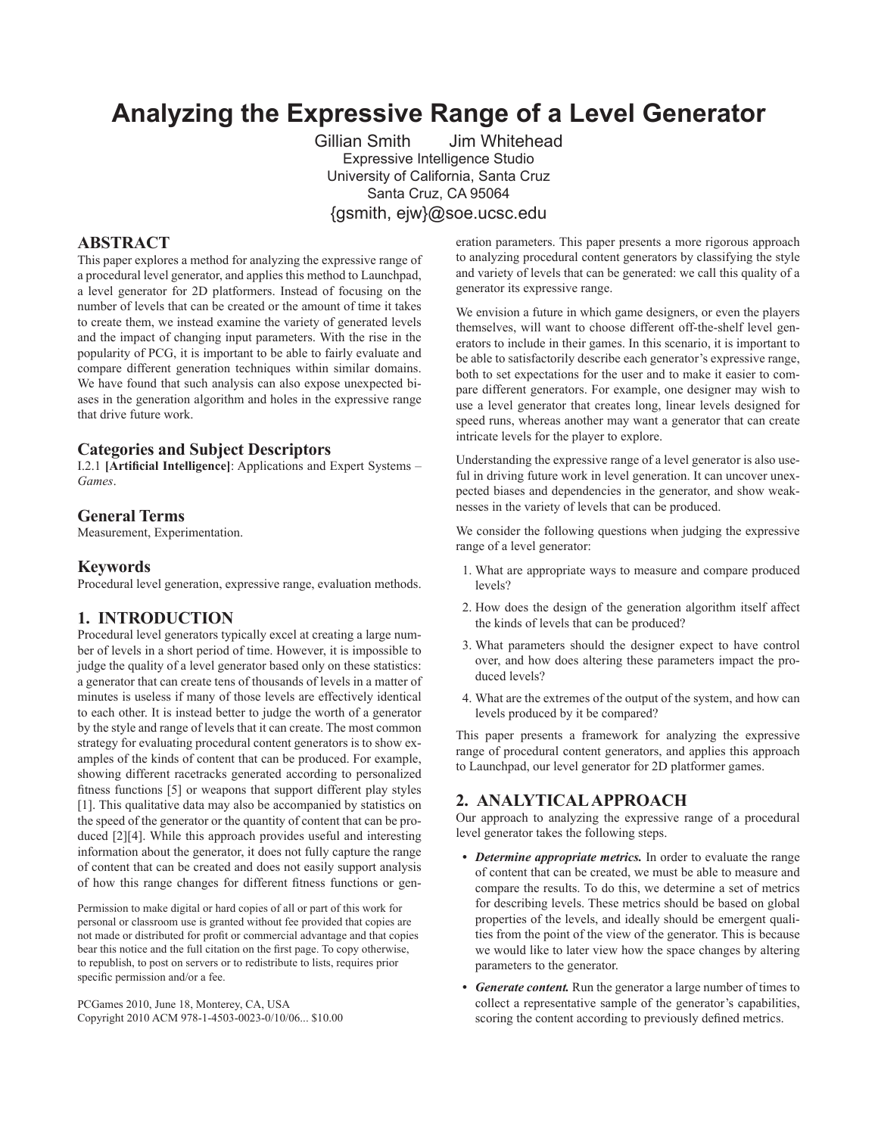# **Analyzing the Expressive Range of a Level Generator**

Gillian Smith Jim Whitehead Expressive Intelligence Studio University of California, Santa Cruz Santa Cruz, CA 95064 {gsmith, ejw}@soe.ucsc.edu

# **ABSTRACT**

This paper explores a method for analyzing the expressive range of a procedural level generator, and applies this method to Launchpad, a level generator for 2D platformers. Instead of focusing on the number of levels that can be created or the amount of time it takes to create them, we instead examine the variety of generated levels and the impact of changing input parameters. With the rise in the popularity of PCG, it is important to be able to fairly evaluate and compare different generation techniques within similar domains. We have found that such analysis can also expose unexpected biases in the generation algorithm and holes in the expressive range that drive future work.

## **Categories and Subject Descriptors**

I.2.1 **[Artificial Intelligence]**: Applications and Expert Systems – *Games*.

### **General Terms**

Measurement, Experimentation.

## **Keywords**

Procedural level generation, expressive range, evaluation methods.

# **1. INTRODUCTION**

Procedural level generators typically excel at creating a large number of levels in a short period of time. However, it is impossible to judge the quality of a level generator based only on these statistics: a generator that can create tens of thousands of levels in a matter of minutes is useless if many of those levels are effectively identical to each other. It is instead better to judge the worth of a generator by the style and range of levels that it can create. The most common strategy for evaluating procedural content generators is to show examples of the kinds of content that can be produced. For example, showing different racetracks generated according to personalized fitness functions [5] or weapons that support different play styles [1]. This qualitative data may also be accompanied by statistics on the speed of the generator or the quantity of content that can be produced [2][4]. While this approach provides useful and interesting information about the generator, it does not fully capture the range of content that can be created and does not easily support analysis of how this range changes for different fitness functions or gen-

Permission to make digital or hard copies of all or part of this work for personal or classroom use is granted without fee provided that copies are not made or distributed for profit or commercial advantage and that copies bear this notice and the full citation on the first page. To copy otherwise, to republish, to post on servers or to redistribute to lists, requires prior specific permission and/or a fee.

PCGames 2010, June 18, Monterey, CA, USA Copyright 2010 ACM 978-1-4503-0023-0/10/06... \$10.00 eration parameters. This paper presents a more rigorous approach to analyzing procedural content generators by classifying the style and variety of levels that can be generated: we call this quality of a generator its expressive range.

We envision a future in which game designers, or even the players themselves, will want to choose different off-the-shelf level generators to include in their games. In this scenario, it is important to be able to satisfactorily describe each generator's expressive range, both to set expectations for the user and to make it easier to compare different generators. For example, one designer may wish to use a level generator that creates long, linear levels designed for speed runs, whereas another may want a generator that can create intricate levels for the player to explore.

Understanding the expressive range of a level generator is also useful in driving future work in level generation. It can uncover unexpected biases and dependencies in the generator, and show weaknesses in the variety of levels that can be produced.

We consider the following questions when judging the expressive range of a level generator:

- 1. What are appropriate ways to measure and compare produced levels?
- 2. How does the design of the generation algorithm itself affect the kinds of levels that can be produced?
- 3. What parameters should the designer expect to have control over, and how does altering these parameters impact the produced levels?
- 4. What are the extremes of the output of the system, and how can levels produced by it be compared?

This paper presents a framework for analyzing the expressive range of procedural content generators, and applies this approach to Launchpad, our level generator for 2D platformer games.

## **2. ANALYTICAL APPROACH**

Our approach to analyzing the expressive range of a procedural level generator takes the following steps.

- *• Determine appropriate metrics.* In order to evaluate the range of content that can be created, we must be able to measure and compare the results. To do this, we determine a set of metrics for describing levels. These metrics should be based on global properties of the levels, and ideally should be emergent qualities from the point of the view of the generator. This is because we would like to later view how the space changes by altering parameters to the generator.
- *• Generate content.* Run the generator a large number of times to collect a representative sample of the generator's capabilities, scoring the content according to previously defined metrics.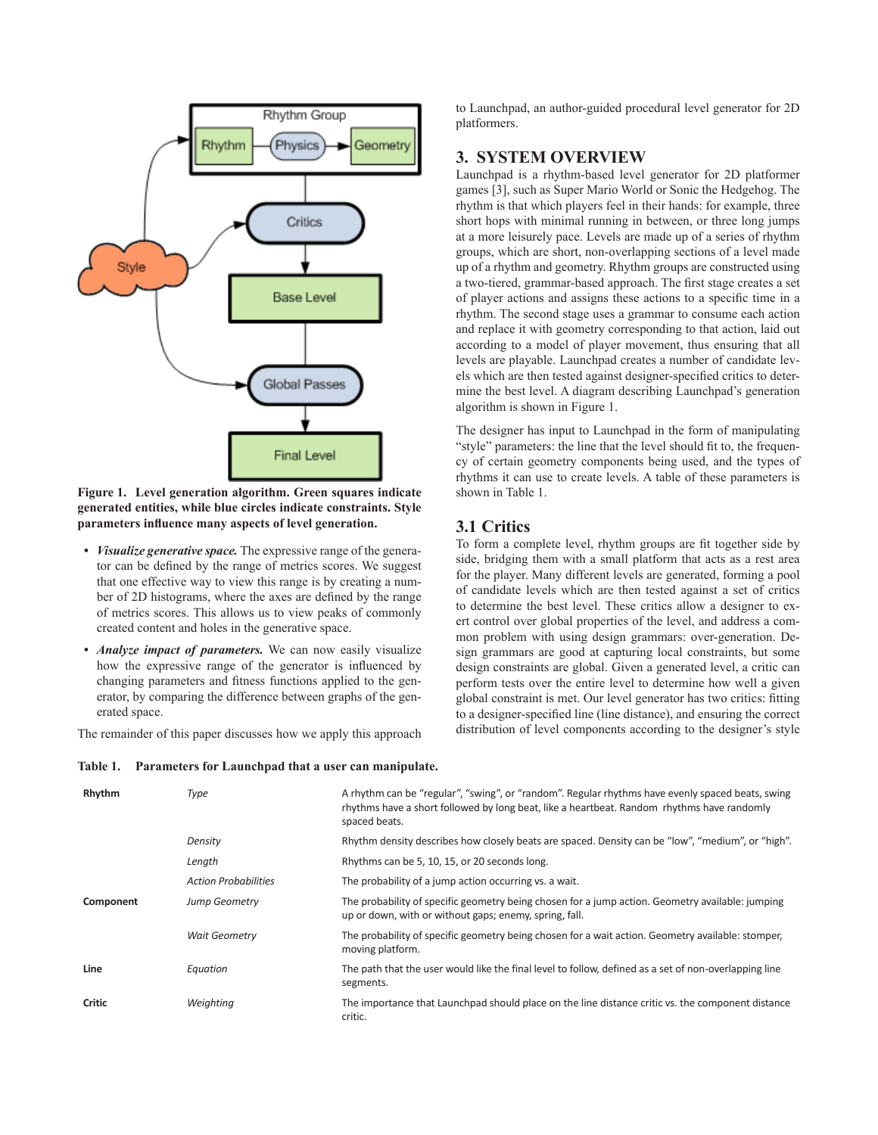

**Figure 1. Level generation algorithm. Green squares indicate generated entities, while blue circles indicate constraints. Style parameters influence many aspects of level generation.**

- *• Visualize generative space.* The expressive range of the generator can be defined by the range of metrics scores. We suggest that one effective way to view this range is by creating a number of 2D histograms, where the axes are defined by the range of metrics scores. This allows us to view peaks of commonly created content and holes in the generative space.
- *• Analyze impact of parameters.* We can now easily visualize how the expressive range of the generator is influenced by changing parameters and fitness functions applied to the generator, by comparing the difference between graphs of the generated space.

The remainder of this paper discusses how we apply this approach

**Table 1. Parameters for Launchpad that a user can manipulate.**

to Launchpad, an author-guided procedural level generator for 2D platformers.

# **3. SYSTEM OVERVIEW**

Launchpad is a rhythm-based level generator for 2D platformer games [3], such as Super Mario World or Sonic the Hedgehog. The rhythm is that which players feel in their hands: for example, three short hops with minimal running in between, or three long jumps at a more leisurely pace. Levels are made up of a series of rhythm groups, which are short, non-overlapping sections of a level made up of a rhythm and geometry. Rhythm groups are constructed using a two-tiered, grammar-based approach. The first stage creates a set of player actions and assigns these actions to a specific time in a rhythm. The second stage uses a grammar to consume each action and replace it with geometry corresponding to that action, laid out according to a model of player movement, thus ensuring that all levels are playable. Launchpad creates a number of candidate levels which are then tested against designer-specified critics to determine the best level. A diagram describing Launchpad's generation algorithm is shown in Figure 1.

The designer has input to Launchpad in the form of manipulating "style" parameters: the line that the level should fit to, the frequency of certain geometry components being used, and the types of rhythms it can use to create levels. A table of these parameters is shown in Table 1.

## **3.1 Critics**

To form a complete level, rhythm groups are fit together side by side, bridging them with a small platform that acts as a rest area for the player. Many different levels are generated, forming a pool of candidate levels which are then tested against a set of critics to determine the best level. These critics allow a designer to exert control over global properties of the level, and address a common problem with using design grammars: over-generation. Design grammars are good at capturing local constraints, but some design constraints are global. Given a generated level, a critic can perform tests over the entire level to determine how well a given global constraint is met. Our level generator has two critics: fitting to a designer-specified line (line distance), and ensuring the correct distribution of level components according to the designer's style

| Rhythm    | Type                        | A rhythm can be "regular", "swing", or "random". Regular rhythms have evenly spaced beats, swing<br>rhythms have a short followed by long beat, like a heartbeat. Random rhythms have randomly<br>spaced beats. |
|-----------|-----------------------------|-----------------------------------------------------------------------------------------------------------------------------------------------------------------------------------------------------------------|
|           | Density                     | Rhythm density describes how closely beats are spaced. Density can be "low", "medium", or "high".                                                                                                               |
|           | Length                      | Rhythms can be 5, 10, 15, or 20 seconds long.                                                                                                                                                                   |
|           | <b>Action Probabilities</b> | The probability of a jump action occurring vs. a wait.                                                                                                                                                          |
| Component | Jump Geometry               | The probability of specific geometry being chosen for a jump action. Geometry available: jumping<br>up or down, with or without gaps; enemy, spring, fall.                                                      |
|           | <b>Wait Geometry</b>        | The probability of specific geometry being chosen for a wait action. Geometry available: stomper,<br>moving platform.                                                                                           |
| Line      | Equation                    | The path that the user would like the final level to follow, defined as a set of non-overlapping line<br>segments.                                                                                              |
| Critic    | Weighting                   | The importance that Launchpad should place on the line distance critic vs. the component distance<br>critic.                                                                                                    |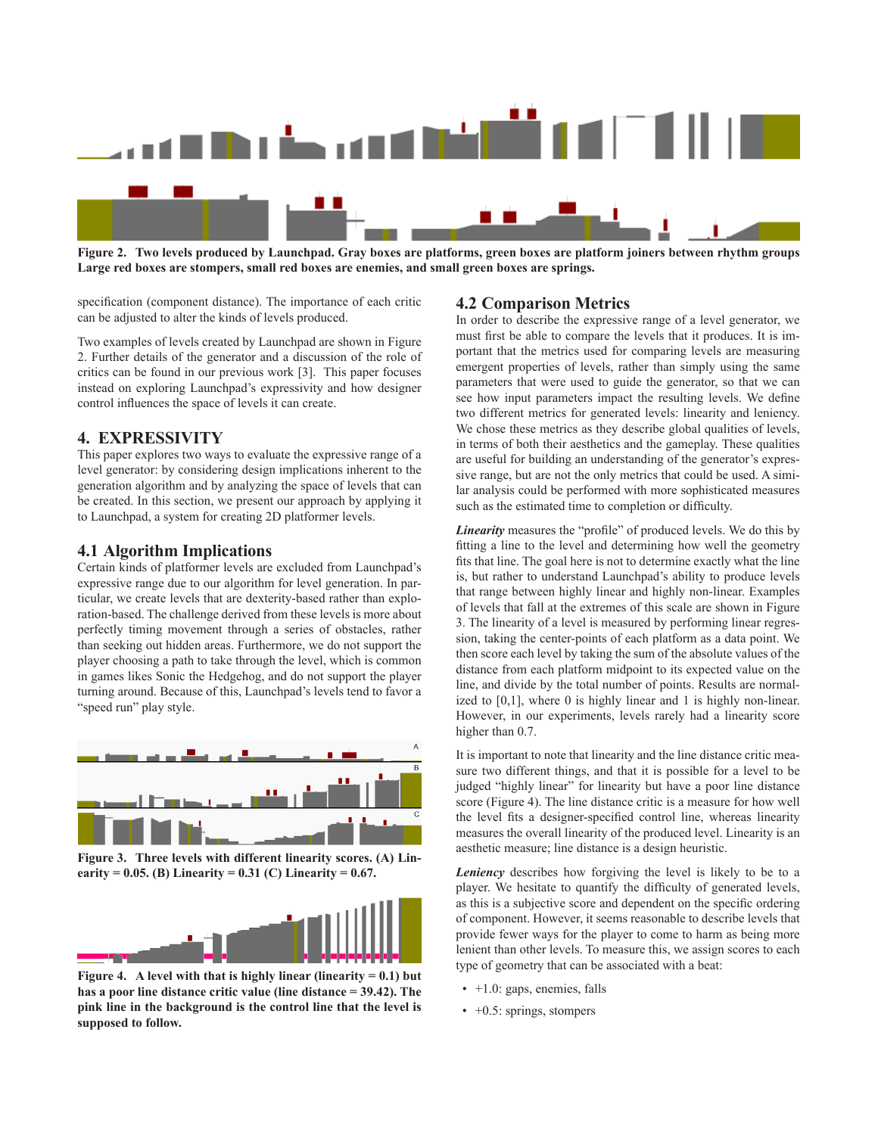

**Figure 2. Two levels produced by Launchpad. Gray boxes are platforms, green boxes are platform joiners between rhythm groups Large red boxes are stompers, small red boxes are enemies, and small green boxes are springs.**

specification (component distance). The importance of each critic can be adjusted to alter the kinds of levels produced.

Two examples of levels created by Launchpad are shown in Figure 2. Further details of the generator and a discussion of the role of critics can be found in our previous work [3]. This paper focuses instead on exploring Launchpad's expressivity and how designer control influences the space of levels it can create.

## **4. EXPRESSIVITY**

This paper explores two ways to evaluate the expressive range of a level generator: by considering design implications inherent to the generation algorithm and by analyzing the space of levels that can be created. In this section, we present our approach by applying it to Launchpad, a system for creating 2D platformer levels.

## **4.1 Algorithm Implications**

Certain kinds of platformer levels are excluded from Launchpad's expressive range due to our algorithm for level generation. In particular, we create levels that are dexterity-based rather than exploration-based. The challenge derived from these levels is more about perfectly timing movement through a series of obstacles, rather than seeking out hidden areas. Furthermore, we do not support the player choosing a path to take through the level, which is common in games likes Sonic the Hedgehog, and do not support the player turning around. Because of this, Launchpad's levels tend to favor a "speed run" play style.



**Figure 3. Three levels with different linearity scores. (A) Linearity = 0.05. (B) Linearity = 0.31 (C) Linearity = 0.67.**



**Figure 4.** A level with that is highly linear (linearity  $= 0.1$ ) but **has a poor line distance critic value (line distance = 39.42). The pink line in the background is the control line that the level is supposed to follow.**

## **4.2 Comparison Metrics**

In order to describe the expressive range of a level generator, we must first be able to compare the levels that it produces. It is important that the metrics used for comparing levels are measuring emergent properties of levels, rather than simply using the same parameters that were used to guide the generator, so that we can see how input parameters impact the resulting levels. We define two different metrics for generated levels: linearity and leniency. We chose these metrics as they describe global qualities of levels, in terms of both their aesthetics and the gameplay. These qualities are useful for building an understanding of the generator's expressive range, but are not the only metrics that could be used. A similar analysis could be performed with more sophisticated measures such as the estimated time to completion or difficulty.

*Linearity* measures the "profile" of produced levels. We do this by fitting a line to the level and determining how well the geometry fits that line. The goal here is not to determine exactly what the line is, but rather to understand Launchpad's ability to produce levels that range between highly linear and highly non-linear. Examples of levels that fall at the extremes of this scale are shown in Figure 3. The linearity of a level is measured by performing linear regression, taking the center-points of each platform as a data point. We then score each level by taking the sum of the absolute values of the distance from each platform midpoint to its expected value on the line, and divide by the total number of points. Results are normalized to [0,1], where 0 is highly linear and 1 is highly non-linear. However, in our experiments, levels rarely had a linearity score higher than  $0.7$ .

It is important to note that linearity and the line distance critic measure two different things, and that it is possible for a level to be judged "highly linear" for linearity but have a poor line distance score (Figure 4). The line distance critic is a measure for how well the level fits a designer-specified control line, whereas linearity measures the overall linearity of the produced level. Linearity is an aesthetic measure; line distance is a design heuristic.

*Leniency* describes how forgiving the level is likely to be to a player. We hesitate to quantify the difficulty of generated levels, as this is a subjective score and dependent on the specific ordering of component. However, it seems reasonable to describe levels that provide fewer ways for the player to come to harm as being more lenient than other levels. To measure this, we assign scores to each type of geometry that can be associated with a beat:

- $\cdot$  +1.0: gaps, enemies, falls
- $\cdot$  +0.5: springs, stompers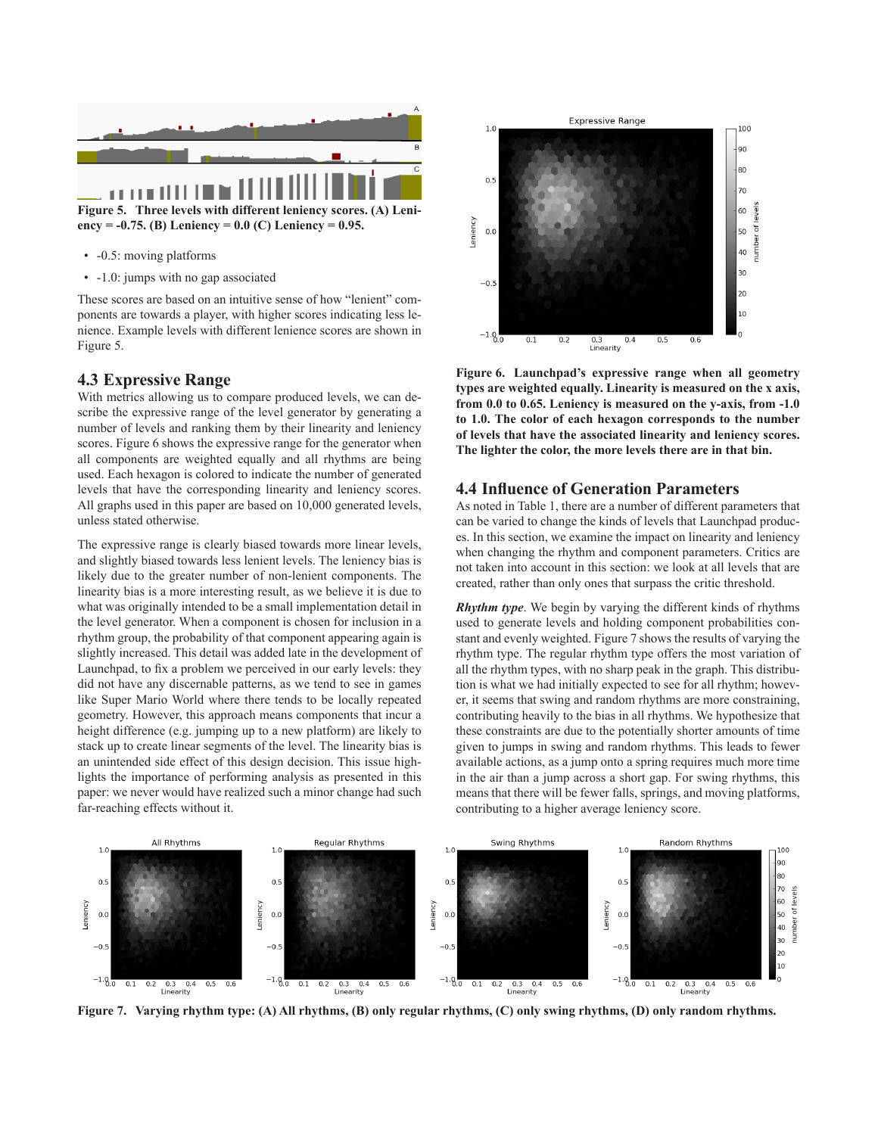

- -0.5: moving platforms
- -1.0: jumps with no gap associated

These scores are based on an intuitive sense of how "lenient" components are towards a player, with higher scores indicating less lenience. Example levels with different lenience scores are shown in Figure 5.

#### **4.3 Expressive Range**

With metrics allowing us to compare produced levels, we can describe the expressive range of the level generator by generating a number of levels and ranking them by their linearity and leniency scores. Figure 6 shows the expressive range for the generator when all components are weighted equally and all rhythms are being used. Each hexagon is colored to indicate the number of generated levels that have the corresponding linearity and leniency scores. All graphs used in this paper are based on 10,000 generated levels, unless stated otherwise.

The expressive range is clearly biased towards more linear levels, and slightly biased towards less lenient levels. The leniency bias is likely due to the greater number of non-lenient components. The linearity bias is a more interesting result, as we believe it is due to what was originally intended to be a small implementation detail in the level generator. When a component is chosen for inclusion in a rhythm group, the probability of that component appearing again is slightly increased. This detail was added late in the development of Launchpad, to fix a problem we perceived in our early levels: they did not have any discernable patterns, as we tend to see in games like Super Mario World where there tends to be locally repeated geometry. However, this approach means components that incur a height difference (e.g. jumping up to a new platform) are likely to stack up to create linear segments of the level. The linearity bias is an unintended side effect of this design decision. This issue highlights the importance of performing analysis as presented in this paper: we never would have realized such a minor change had such far-reaching effects without it.



**Figure 6. Launchpad's expressive range when all geometry types are weighted equally. Linearity is measured on the x axis, from 0.0 to 0.65. Leniency is measured on the y-axis, from -1.0 to 1.0. The color of each hexagon corresponds to the number of levels that have the associated linearity and leniency scores. The lighter the color, the more levels there are in that bin.**

## **4.4 Influence of Generation Parameters**

As noted in Table 1, there are a number of different parameters that can be varied to change the kinds of levels that Launchpad produces. In this section, we examine the impact on linearity and leniency when changing the rhythm and component parameters. Critics are not taken into account in this section: we look at all levels that are created, rather than only ones that surpass the critic threshold.

*Rhythm type*. We begin by varying the different kinds of rhythms used to generate levels and holding component probabilities constant and evenly weighted. Figure 7 shows the results of varying the rhythm type. The regular rhythm type offers the most variation of all the rhythm types, with no sharp peak in the graph. This distribution is what we had initially expected to see for all rhythm; however, it seems that swing and random rhythms are more constraining, contributing heavily to the bias in all rhythms. We hypothesize that these constraints are due to the potentially shorter amounts of time given to jumps in swing and random rhythms. This leads to fewer available actions, as a jump onto a spring requires much more time in the air than a jump across a short gap. For swing rhythms, this means that there will be fewer falls, springs, and moving platforms, contributing to a higher average leniency score.



**Figure 7. Varying rhythm type: (A) All rhythms, (B) only regular rhythms, (C) only swing rhythms, (D) only random rhythms.**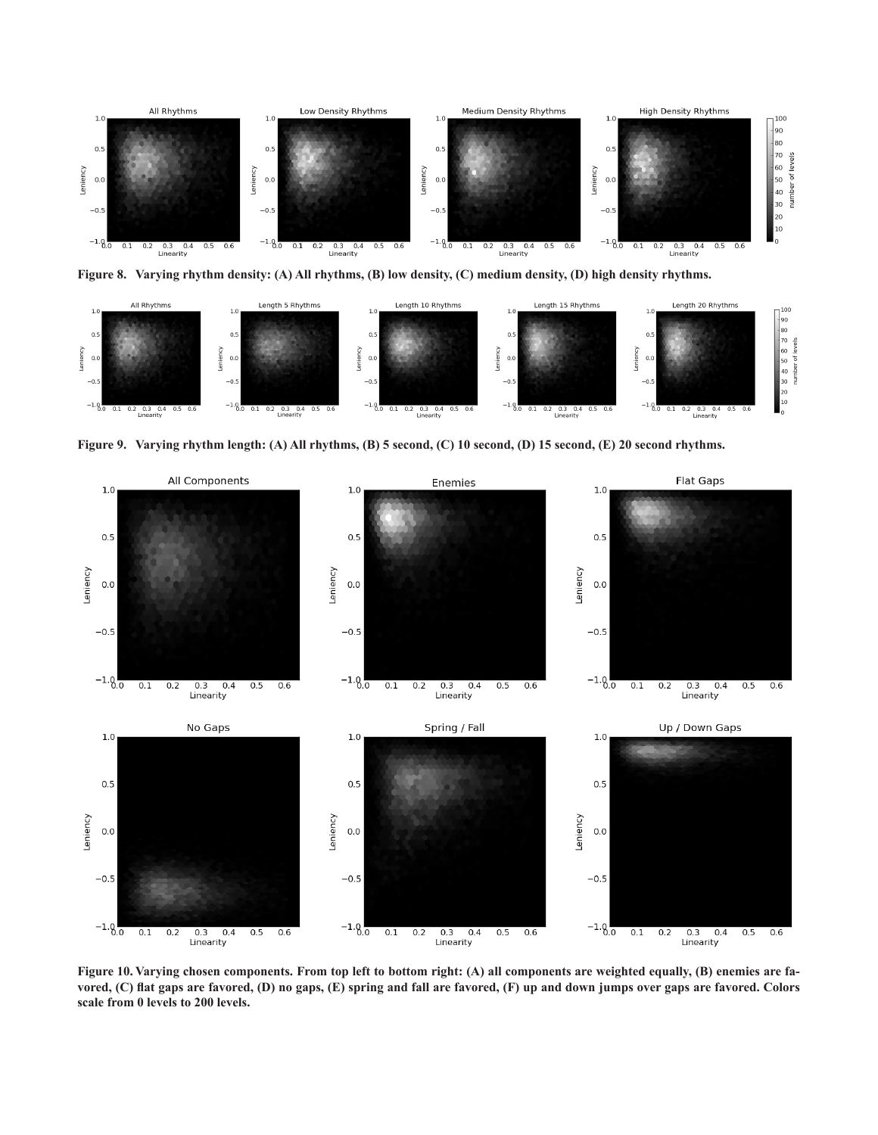

**Figure 8. Varying rhythm density: (A) All rhythms, (B) low density, (C) medium density, (D) high density rhythms.**



**Figure 9. Varying rhythm length: (A) All rhythms, (B) 5 second, (C) 10 second, (D) 15 second, (E) 20 second rhythms.**



**Figure 10. Varying chosen components. From top left to bottom right: (A) all components are weighted equally, (B) enemies are favored, (C) flat gaps are favored, (D) no gaps, (E) spring and fall are favored, (F) up and down jumps over gaps are favored. Colors scale from 0 levels to 200 levels.**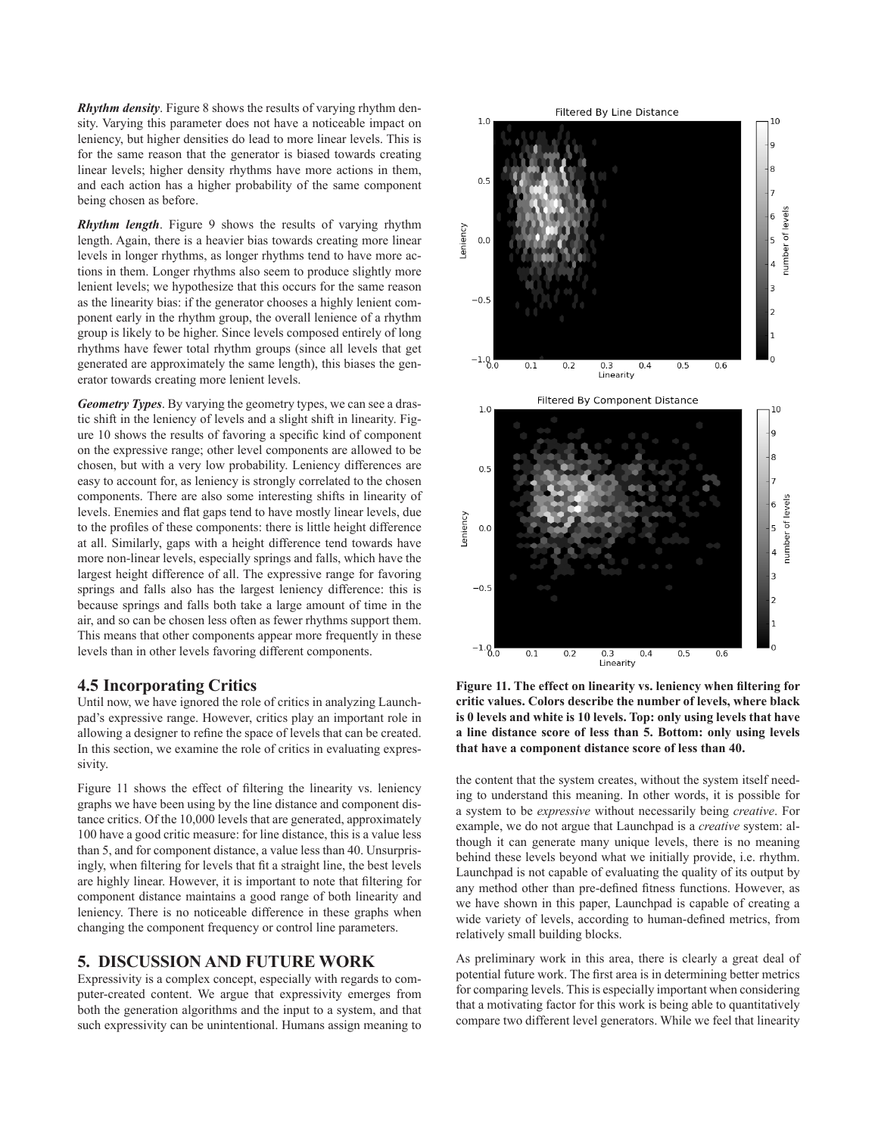*Rhythm density*. Figure 8 shows the results of varying rhythm density. Varying this parameter does not have a noticeable impact on leniency, but higher densities do lead to more linear levels. This is for the same reason that the generator is biased towards creating linear levels; higher density rhythms have more actions in them, and each action has a higher probability of the same component being chosen as before.

*Rhythm length*. Figure 9 shows the results of varying rhythm length. Again, there is a heavier bias towards creating more linear levels in longer rhythms, as longer rhythms tend to have more actions in them. Longer rhythms also seem to produce slightly more lenient levels; we hypothesize that this occurs for the same reason as the linearity bias: if the generator chooses a highly lenient component early in the rhythm group, the overall lenience of a rhythm group is likely to be higher. Since levels composed entirely of long rhythms have fewer total rhythm groups (since all levels that get generated are approximately the same length), this biases the generator towards creating more lenient levels.

*Geometry Types*. By varying the geometry types, we can see a drastic shift in the leniency of levels and a slight shift in linearity. Figure 10 shows the results of favoring a specific kind of component on the expressive range; other level components are allowed to be chosen, but with a very low probability. Leniency differences are easy to account for, as leniency is strongly correlated to the chosen components. There are also some interesting shifts in linearity of levels. Enemies and flat gaps tend to have mostly linear levels, due to the profiles of these components: there is little height difference at all. Similarly, gaps with a height difference tend towards have more non-linear levels, especially springs and falls, which have the largest height difference of all. The expressive range for favoring springs and falls also has the largest leniency difference: this is because springs and falls both take a large amount of time in the air, and so can be chosen less often as fewer rhythms support them. This means that other components appear more frequently in these levels than in other levels favoring different components.

### **4.5 Incorporating Critics**

Until now, we have ignored the role of critics in analyzing Launchpad's expressive range. However, critics play an important role in allowing a designer to refine the space of levels that can be created. In this section, we examine the role of critics in evaluating expressivity.

Figure 11 shows the effect of filtering the linearity vs. leniency graphs we have been using by the line distance and component distance critics. Of the 10,000 levels that are generated, approximately 100 have a good critic measure: for line distance, this is a value less than 5, and for component distance, a value less than 40. Unsurprisingly, when filtering for levels that fit a straight line, the best levels are highly linear. However, it is important to note that filtering for component distance maintains a good range of both linearity and leniency. There is no noticeable difference in these graphs when changing the component frequency or control line parameters.

# **5. DISCUSSION AND FUTURE WORK**

Expressivity is a complex concept, especially with regards to computer-created content. We argue that expressivity emerges from both the generation algorithms and the input to a system, and that such expressivity can be unintentional. Humans assign meaning to



**Figure 11. The effect on linearity vs. leniency when filtering for critic values. Colors describe the number of levels, where black is 0 levels and white is 10 levels. Top: only using levels that have a line distance score of less than 5. Bottom: only using levels that have a component distance score of less than 40.**

the content that the system creates, without the system itself needing to understand this meaning. In other words, it is possible for a system to be *expressive* without necessarily being *creative*. For example, we do not argue that Launchpad is a *creative* system: although it can generate many unique levels, there is no meaning behind these levels beyond what we initially provide, i.e. rhythm. Launchpad is not capable of evaluating the quality of its output by any method other than pre-defined fitness functions. However, as we have shown in this paper, Launchpad is capable of creating a wide variety of levels, according to human-defined metrics, from relatively small building blocks.

As preliminary work in this area, there is clearly a great deal of potential future work. The first area is in determining better metrics for comparing levels. This is especially important when considering that a motivating factor for this work is being able to quantitatively compare two different level generators. While we feel that linearity